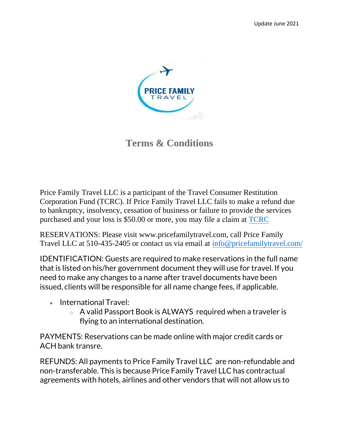

**Terms & Conditions**

Price Family Travel LLC is a participant of the Travel Consumer Restitution Corporation Fund (TCRC). If Price Family Travel LLC fails to make a refund due to bankruptcy, insolvency, cessation of business or failure to provide the services purchased and your loss is \$50.00 or more, you may file a claim at [TCRC](https://tcrcinfo.org/)

RESERVATIONS: Please visit www.pricefamilytravel.com, call Price Family Travel LLC at 510-435-2405 or contact us via email at inf[o@pricefamilytravel.com](mailto:fo@pricefamilytravel.com/)/

IDENTIFICATION: Guests are required to make reservations in the full name that is listed on his/her government document they will use for travel. If you need to make any changes to a name after travel documents have been issued, clients will be responsible for all name change fees, if applicable.

- International Travel:
	- o A valid Passport Book is ALWAYS required when a traveler is flying to an international destination.

PAYMENTS: Reservations can be made online with major credit cards or ACH bank transre.

REFUNDS: All payments to Price Family Travel LLC are non-refundable and non-transferable. This is because Price Family Travel LLC has contractual agreements with hotels, airlines and other vendors that will not allow us to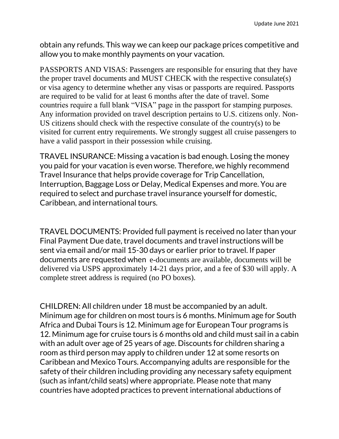obtain any refunds. This way we can keep our package prices competitive and allow you to make monthly payments on your vacation.

PASSPORTS AND VISAS: Passengers are responsible for ensuring that they have the proper travel documents and MUST CHECK with the respective consulate(s) or visa agency to determine whether any visas or passports are required. Passports are required to be valid for at least 6 months after the date of travel. Some countries require a full blank "VISA" page in the passport for stamping purposes. Any information provided on travel description pertains to U.S. citizens only. Non-US citizens should check with the respective consulate of the country(s) to be visited for current entry requirements. We strongly suggest all cruise passengers to have a valid passport in their possession while cruising.

TRAVEL INSURANCE: Missing a vacation is bad enough. Losing the money you paid for your vacation is even worse. Therefore, we highly recommend Travel Insurance that helps provide coverage for Trip Cancellation, Interruption, Baggage Loss or Delay, Medical Expenses and more. You are required to select and purchase travel insurance yourself for domestic, Caribbean, and international tours.

TRAVEL DOCUMENTS: Provided full payment is received no later than your Final Payment Due date, travel documents and travel instructions will be sent via email and/or mail 15-30 days or earlier prior to travel. If paper documents are requested when e-documents are available, documents will be delivered via USPS approximately 14-21 days prior, and a fee of \$30 will apply. A complete street address is required (no PO boxes).

CHILDREN: All children under 18 must be accompanied by an adult. Minimum age for children on most tours is 6 months. Minimum age for South Africa and Dubai Tours is 12. Minimum age for European Tour programs is 12. Minimum age for cruise tours is 6 months old and child must sail in a cabin with an adult over age of 25 years of age. Discounts for children sharing a room as third person may apply to children under 12 at some resorts on Caribbean and Mexico Tours. Accompanying adults are responsible for the safety of their children including providing any necessary safety equipment (such as infant/child seats) where appropriate. Please note that many countries have adopted practices to prevent international abductions of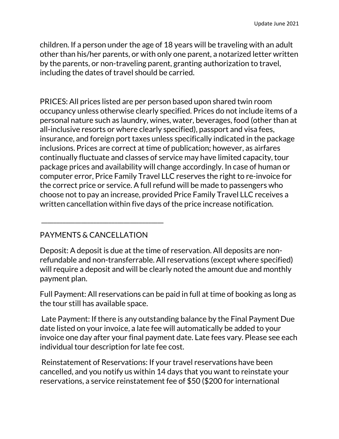children. If a person under the age of 18 years will be traveling with an adult other than his/her parents, or with only one parent, a notarized letter written by the parents, or non-traveling parent, granting authorization to travel, including the dates of travel should be carried.

PRICES: All prices listed are per person based upon shared twin room occupancy unless otherwise clearly specified. Prices do not include items of a personal nature such as laundry, wines, water, beverages, food (other than at all-inclusive resorts or where clearly specified), passport and visa fees, insurance, and foreign port taxes unless specifically indicated in the package inclusions. Prices are correct at time of publication; however, as airfares continually fluctuate and classes of service may have limited capacity, tour package prices and availability will change accordingly. In case of human or computer error, Price Family Travel LLC reserves the right to re-invoice for the correct price or service. A full refund will be made to passengers who choose not to pay an increase, provided Price Family Travel LLC receives a written cancellation within five days of the price increase notification.

#### PAYMENTS & CANCELLATION

\_\_\_\_\_\_\_\_\_\_\_\_\_\_\_\_\_\_\_\_\_\_\_\_\_\_\_\_\_\_\_\_\_\_\_\_\_\_\_\_

Deposit: A deposit is due at the time of reservation. All deposits are nonrefundable and non-transferrable. All reservations (except where specified) will require a deposit and will be clearly noted the amount due and monthly payment plan.

Full Payment: All reservations can be paid in full at time of booking as long as the tour still has available space.

Late Payment: If there is any outstanding balance by the Final Payment Due date listed on your invoice, a late fee will automatically be added to your invoice one day after your final payment date. Late fees vary. Please see each individual tour description for late fee cost.

Reinstatement of Reservations: If your travel reservations have been cancelled, and you notify us within 14 days that you want to reinstate your reservations, a service reinstatement fee of \$50 (\$200 for international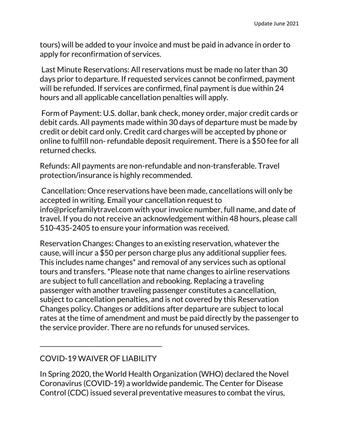tours) will be added to your invoice and must be paid in advance in order to apply for reconfirmation of services.

Last Minute Reservations: All reservations must be made no later than 30 days prior to departure. If requested services cannot be confirmed, payment will be refunded. If services are confirmed, final payment is due within 24 hours and all applicable cancellation penalties will apply.

Form of Payment: U.S. dollar, bank check, money order, major credit cards or debit cards. All payments made within 30 days of departure must be made by credit or debit card only. Credit card charges will be accepted by phone or online to fulfill non- refundable deposit requirement. There is a \$50 fee for all returned checks.

Refunds: All payments are non-refundable and non-transferable. Travel protection/insurance is highly recommended.

Cancellation: Once reservations have been made, cancellations will only be accepted in writing. Email your cancellation request to info@pricefamilytravel.com with your invoice number, full name, and date of travel. If you do not receive an acknowledgement within 48 hours, please call 510-435-2405 to ensure your information was received.

Reservation Changes: Changes to an existing reservation, whatever the cause, will incur a \$50 per person charge plus any additional supplier fees. This includes name changes\* and removal of any services such as optional tours and transfers. \*Please note that name changes to airline reservations are subject to full cancellation and rebooking. Replacing a traveling passenger with another traveling passenger constitutes a cancellation, subject to cancellation penalties, and is not covered by this Reservation Changes policy. Changes or additions after departure are subject to local rates at the time of amendment and must be paid directly by the passenger to the service provider. There are no refunds for unused services.

## COVID-19 WAIVER OF LIABILITY

\_\_\_\_\_\_\_\_\_\_\_\_\_\_\_\_\_\_\_\_\_\_\_\_\_\_\_\_\_\_\_\_\_\_\_\_\_\_\_\_

In Spring 2020, the World Health Organization (WHO) declared the Novel Coronavirus (COVID-19) a worldwide pandemic. The Center for Disease Control (CDC) issued several preventative measures to combat the virus,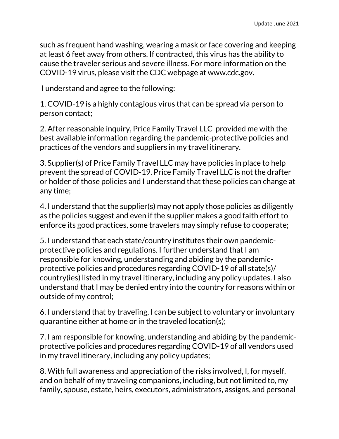such as frequent hand washing, wearing a mask or face covering and keeping at least 6 feet away from others. If contracted, this virus has the ability to cause the traveler serious and severe illness. For more information on the COVID-19 virus, please visit the CDC webpage at www.cdc.gov.

I understand and agree to the following:

1. COVID-19 is a highly contagious virus that can be spread via person to person contact;

2. After reasonable inquiry, Price Family Travel LLC provided me with the best available information regarding the pandemic-protective policies and practices of the vendors and suppliers in my travel itinerary.

3. Supplier(s) of Price Family Travel LLC may have policies in place to help prevent the spread of COVID-19. Price Family Travel LLC is not the drafter or holder of those policies and I understand that these policies can change at any time;

4. I understand that the supplier(s) may not apply those policies as diligently as the policies suggest and even if the supplier makes a good faith effort to enforce its good practices, some travelers may simply refuse to cooperate;

5. I understand that each state/country institutes their own pandemicprotective policies and regulations. I further understand that I am responsible for knowing, understanding and abiding by the pandemicprotective policies and procedures regarding COVID-19 of all state(s)/ country(ies) listed in my travel itinerary, including any policy updates. I also understand that I may be denied entry into the country for reasons within or outside of my control;

6. I understand that by traveling, I can be subject to voluntary or involuntary quarantine either at home or in the traveled location(s);

7. I am responsible for knowing, understanding and abiding by the pandemicprotective policies and procedures regarding COVID-19 of all vendors used in my travel itinerary, including any policy updates;

8. With full awareness and appreciation of the risks involved, I, for myself, and on behalf of my traveling companions, including, but not limited to, my family, spouse, estate, heirs, executors, administrators, assigns, and personal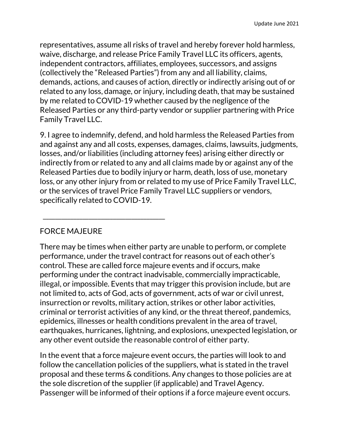representatives, assume all risks of travel and hereby forever hold harmless, waive, discharge, and release Price Family Travel LLC its officers, agents, independent contractors, affiliates, employees, successors, and assigns (collectively the "Released Parties") from any and all liability, claims, demands, actions, and causes of action, directly or indirectly arising out of or related to any loss, damage, or injury, including death, that may be sustained by me related to COVID-19 whether caused by the negligence of the Released Parties or any third-party vendor or supplier partnering with Price Family Travel LLC.

9. I agree to indemnify, defend, and hold harmless the Released Parties from and against any and all costs, expenses, damages, claims, lawsuits, judgments, losses, and/or liabilities (including attorney fees) arising either directly or indirectly from or related to any and all claims made by or against any of the Released Parties due to bodily injury or harm, death, loss of use, monetary loss, or any other injury from or related to my use of Price Family Travel LLC, or the services of travel Price Family Travel LLC suppliers or vendors, specifically related to COVID-19.

# FORCE MAJEURE

\_\_\_\_\_\_\_\_\_\_\_\_\_\_\_\_\_\_\_\_\_\_\_\_\_\_\_\_\_\_\_\_\_\_\_\_\_\_\_\_

There may be times when either party are unable to perform, or complete performance, under the travel contract for reasons out of each other's control. These are called force majeure events and if occurs, make performing under the contract inadvisable, commercially impracticable, illegal, or impossible. Events that may trigger this provision include, but are not limited to, acts of God, acts of government, acts of war or civil unrest, insurrection or revolts, military action, strikes or other labor activities, criminal or terrorist activities of any kind, or the threat thereof, pandemics, epidemics, illnesses or health conditions prevalent in the area of travel, earthquakes, hurricanes, lightning, and explosions, unexpected legislation, or any other event outside the reasonable control of either party.

In the event that a force majeure event occurs, the parties will look to and follow the cancellation policies of the suppliers, what is stated in the travel proposal and these terms & conditions. Any changes to those policies are at the sole discretion of the supplier (if applicable) and Travel Agency. Passenger will be informed of their options if a force majeure event occurs.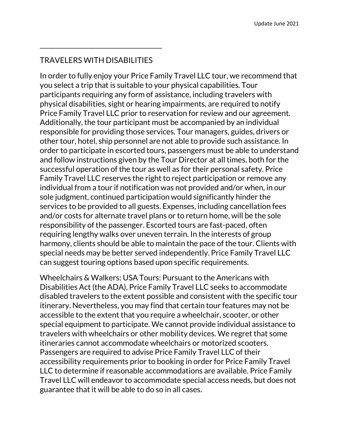#### TRAVELERS WITH DISABILITIES

\_\_\_\_\_\_\_\_\_\_\_\_\_\_\_\_\_\_\_\_\_\_\_\_\_\_\_\_\_\_\_\_\_\_\_\_\_\_\_\_

In order to fully enjoy your Price Family Travel LLC tour, we recommend that you select a trip that is suitable to your physical capabilities. Tour participants requiring any form of assistance, including travelers with physical disabilities, sight or hearing impairments, are required to notify Price Family Travel LLC prior to reservation for review and our agreement. Additionally, the tour participant must be accompanied by an individual responsible for providing those services. Tour managers, guides, drivers or other tour, hotel, ship personnel are not able to provide such assistance. In order to participate in escorted tours, passengers must be able to understand and follow instructions given by the Tour Director at all times, both for the successful operation of the tour as well as for their personal safety. Price Family Travel LLC reserves the right to reject participation or remove any individual from a tour if notification was not provided and/or when, in our sole judgment, continued participation would significantly hinder the services to be provided to all guests. Expenses, including cancellation fees and/or costs for alternate travel plans or to return home, will be the sole responsibility of the passenger. Escorted tours are fast-paced, often requiring lengthy walks over uneven terrain. In the interests of group harmony, clients should be able to maintain the pace of the tour. Clients with special needs may be better served independently. Price Family Travel LLC can suggest touring options based upon specific requirements.

Wheelchairs & Walkers: USA Tours: Pursuant to the Americans with Disabilities Act (the ADA), Price Family Travel LLC seeks to accommodate disabled travelers to the extent possible and consistent with the specific tour itinerary. Nevertheless, you may find that certain tour features may not be accessible to the extent that you require a wheelchair, scooter, or other special equipment to participate. We cannot provide individual assistance to travelers with wheelchairs or other mobility devices. We regret that some itineraries cannot accommodate wheelchairs or motorized scooters. Passengers are required to advise Price Family Travel LLC of their accessibility requirements prior to booking in order for Price Family Travel LLC to determine if reasonable accommodations are available. Price Family Travel LLC will endeavor to accommodate special access needs, but does not guarantee that it will be able to do so in all cases.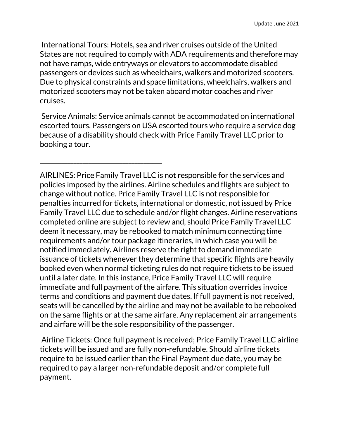International Tours: Hotels, sea and river cruises outside of the United States are not required to comply with ADA requirements and therefore may not have ramps, wide entryways or elevators to accommodate disabled passengers or devices such as wheelchairs, walkers and motorized scooters. Due to physical constraints and space limitations, wheelchairs, walkers and motorized scooters may not be taken aboard motor coaches and river cruises.

Service Animals: Service animals cannot be accommodated on international escorted tours. Passengers on USA escorted tours who require a service dog because of a disability should check with Price Family Travel LLC prior to booking a tour.

\_\_\_\_\_\_\_\_\_\_\_\_\_\_\_\_\_\_\_\_\_\_\_\_\_\_\_\_\_\_\_\_\_\_\_\_\_\_\_\_

AIRLINES: Price Family Travel LLC is not responsible for the services and policies imposed by the airlines. Airline schedules and flights are subject to change without notice. Price Family Travel LLC is not responsible for penalties incurred for tickets, international or domestic, not issued by Price Family Travel LLC due to schedule and/or flight changes. Airline reservations completed online are subject to review and, should Price Family Travel LLC deem it necessary, may be rebooked to match minimum connecting time requirements and/or tour package itineraries, in which case you will be notified immediately. Airlines reserve the right to demand immediate issuance of tickets whenever they determine that specific flights are heavily booked even when normal ticketing rules do not require tickets to be issued until a later date. In this instance, Price Family Travel LLC will require immediate and full payment of the airfare. This situation overrides invoice terms and conditions and payment due dates. If full payment is not received, seats will be cancelled by the airline and may not be available to be rebooked on the same flights or at the same airfare. Any replacement air arrangements and airfare will be the sole responsibility of the passenger.

Airline Tickets: Once full payment is received; Price Family Travel LLC airline tickets will be issued and are fully non-refundable. Should airline tickets require to be issued earlier than the Final Payment due date, you may be required to pay a larger non-refundable deposit and/or complete full payment.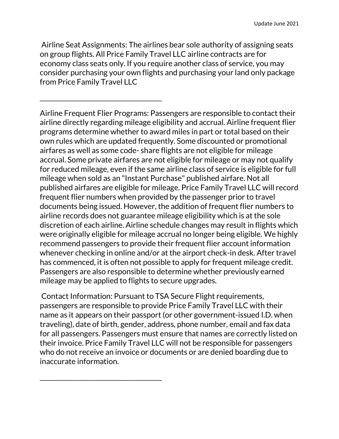Airline Seat Assignments: The airlines bear sole authority of assigning seats on group flights. All Price Family Travel LLC airline contracts are for economy class seats only. If you require another class of service, you may consider purchasing your own flights and purchasing your land only package from Price Family Travel LLC

\_\_\_\_\_\_\_\_\_\_\_\_\_\_\_\_\_\_\_\_\_\_\_\_\_\_\_\_\_\_\_\_\_\_\_\_\_\_\_\_

\_\_\_\_\_\_\_\_\_\_\_\_\_\_\_\_\_\_\_\_\_\_\_\_\_\_\_\_\_\_\_\_\_\_\_\_\_\_\_\_

Airline Frequent Flier Programs: Passengers are responsible to contact their airline directly regarding mileage eligibility and accrual. Airline frequent flier programs determine whether to award miles in part or total based on their own rules which are updated frequently. Some discounted or promotional airfares as well as some code- share flights are not eligible for mileage accrual. Some private airfares are not eligible for mileage or may not qualify for reduced mileage, even if the same airline class of service is eligible for full mileage when sold as an "Instant Purchase" published airfare. Not all published airfares are eligible for mileage. Price Family Travel LLC will record frequent flier numbers when provided by the passenger prior to travel documents being issued. However, the addition of frequent flier numbers to airline records does not guarantee mileage eligibility which is at the sole discretion of each airline. Airline schedule changes may result in flights which were originally eligible for mileage accrual no longer being eligible. We highly recommend passengers to provide their frequent flier account information whenever checking in online and/or at the airport check-in desk. After travel has commenced, it is often not possible to apply for frequent mileage credit. Passengers are also responsible to determine whether previously earned mileage may be applied to flights to secure upgrades.

Contact Information: Pursuant to TSA Secure Flight requirements, passengers are responsible to provide Price Family Travel LLC with their name as it appears on their passport (or other government-issued I.D. when traveling), date of birth, gender, address, phone number, email and fax data for all passengers. Passengers must ensure that names are correctly listed on their invoice. Price Family Travel LLC will not be responsible for passengers who do not receive an invoice or documents or are denied boarding due to inaccurate information.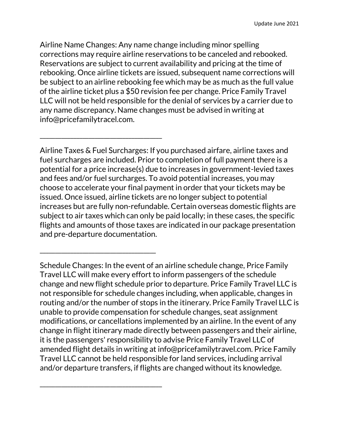Airline Name Changes: Any name change including minor spelling corrections may require airline reservations to be canceled and rebooked. Reservations are subject to current availability and pricing at the time of rebooking. Once airline tickets are issued, subsequent name corrections will be subject to an airline rebooking fee which may be as much as the full value of the airline ticket plus a \$50 revision fee per change. Price Family Travel LLC will not be held responsible for the denial of services by a carrier due to any name discrepancy. Name changes must be advised in writing at info@pricefamilytracel.com.

\_\_\_\_\_\_\_\_\_\_\_\_\_\_\_\_\_\_\_\_\_\_\_\_\_\_\_\_\_\_\_\_\_\_\_\_\_\_\_\_

\_\_\_\_\_\_\_\_\_\_\_\_\_\_\_\_\_\_\_\_\_\_\_\_\_\_\_\_\_\_\_\_\_\_\_\_\_\_

\_\_\_\_\_\_\_\_\_\_\_\_\_\_\_\_\_\_\_\_\_\_\_\_\_\_\_\_\_\_\_\_\_\_\_\_\_\_\_\_

Airline Taxes & Fuel Surcharges: If you purchased airfare, airline taxes and fuel surcharges are included. Prior to completion of full payment there is a potential for a price increase(s) due to increases in government-levied taxes and fees and/or fuel surcharges. To avoid potential increases, you may choose to accelerate your final payment in order that your tickets may be issued. Once issued, airline tickets are no longer subject to potential increases but are fully non-refundable. Certain overseas domestic flights are subject to air taxes which can only be paid locally; in these cases, the specific flights and amounts of those taxes are indicated in our package presentation and pre-departure documentation.

Schedule Changes: In the event of an airline schedule change, Price Family Travel LLC will make every effort to inform passengers of the schedule change and new flight schedule prior to departure. Price Family Travel LLC is not responsible for schedule changes including, when applicable, changes in routing and/or the number of stops in the itinerary. Price Family Travel LLC is unable to provide compensation for schedule changes, seat assignment modifications, or cancellations implemented by an airline. In the event of any change in flight itinerary made directly between passengers and their airline, it is the passengers' responsibility to advise Price Family Travel LLC of amended flight details in writing at info@pricefamilytravel.com. Price Family Travel LLC cannot be held responsible for land services, including arrival and/or departure transfers, if flights are changed without its knowledge.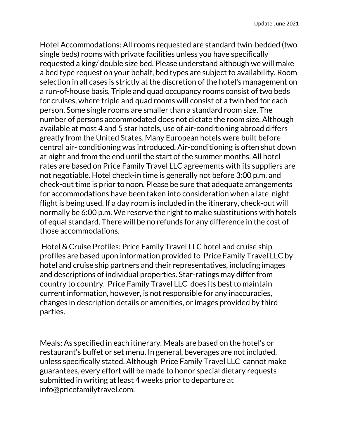Hotel Accommodations: All rooms requested are standard twin-bedded (two single beds) rooms with private facilities unless you have specifically requested a king/ double size bed. Please understand although we will make a bed type request on your behalf, bed types are subject to availability. Room selection in all cases is strictly at the discretion of the hotel's management on a run-of-house basis. Triple and quad occupancy rooms consist of two beds for cruises, where triple and quad rooms will consist of a twin bed for each person. Some single rooms are smaller than a standard room size. The number of persons accommodated does not dictate the room size. Although available at most 4 and 5 star hotels, use of air-conditioning abroad differs greatly from the United States. Many European hotels were built before central air- conditioning was introduced. Air-conditioning is often shut down at night and from the end until the start of the summer months. All hotel rates are based on Price Family Travel LLC agreements with its suppliers are not negotiable. Hotel check-in time is generally not before 3:00 p.m. and check-out time is prior to noon. Please be sure that adequate arrangements for accommodations have been taken into consideration when a late-night flight is being used. If a day room is included in the itinerary, check-out will normally be 6:00 p.m. We reserve the right to make substitutions with hotels of equal standard. There will be no refunds for any difference in the cost of those accommodations.

Hotel & Cruise Profiles: Price Family Travel LLC hotel and cruise ship profiles are based upon information provided to Price Family Travel LLC by hotel and cruise ship partners and their representatives, including images and descriptions of individual properties. Star-ratings may differ from country to country. Price Family Travel LLC does its best to maintain current information, however, is not responsible for any inaccuracies, changes in description details or amenities, or images provided by third parties.

\_\_\_\_\_\_\_\_\_\_\_\_\_\_\_\_\_\_\_\_\_\_\_\_\_\_\_\_\_\_\_\_\_\_\_\_\_\_\_\_

Meals: As specified in each itinerary. Meals are based on the hotel's or restaurant's buffet or set menu. In general, beverages are not included, unless specifically stated. Although Price Family Travel LLC cannot make guarantees, every effort will be made to honor special dietary requests submitted in writing at least 4 weeks prior to departure at info@pricefamilytravel.com.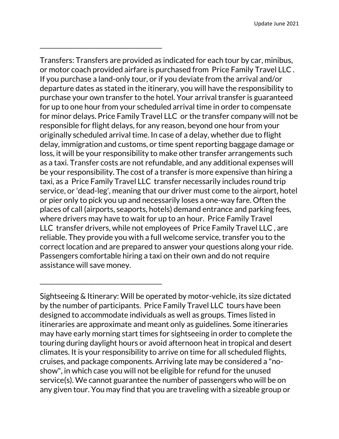Transfers: Transfers are provided as indicated for each tour by car, minibus, or motor coach provided airfare is purchased from Price Family Travel LLC . If you purchase a land-only tour, or if you deviate from the arrival and/or departure dates as stated in the itinerary, you will have the responsibility to purchase your own transfer to the hotel. Your arrival transfer is guaranteed for up to one hour from your scheduled arrival time in order to compensate for minor delays. Price Family Travel LLC or the transfer company will not be responsible for flight delays, for any reason, beyond one hour from your originally scheduled arrival time. In case of a delay, whether due to flight delay, immigration and customs, or time spent reporting baggage damage or loss, it will be your responsibility to make other transfer arrangements such as a taxi. Transfer costs are not refundable, and any additional expenses will be your responsibility. The cost of a transfer is more expensive than hiring a taxi, as a Price Family Travel LLC transfer necessarily includes round trip service, or 'dead-leg', meaning that our driver must come to the airport, hotel or pier only to pick you up and necessarily loses a one-way fare. Often the places of call (airports, seaports, hotels) demand entrance and parking fees, where drivers may have to wait for up to an hour. Price Family Travel LLC transfer drivers, while not employees of Price Family Travel LLC , are reliable. They provide you with a full welcome service, transfer you to the correct location and are prepared to answer your questions along your ride. Passengers comfortable hiring a taxi on their own and do not require assistance will save money.

\_\_\_\_\_\_\_\_\_\_\_\_\_\_\_\_\_\_\_\_\_\_\_\_\_\_\_\_\_\_\_\_\_\_\_\_\_\_\_\_

\_\_\_\_\_\_\_\_\_\_\_\_\_\_\_\_\_\_\_\_\_\_\_\_\_\_\_\_\_\_\_\_\_\_\_\_\_\_\_\_

Sightseeing & Itinerary: Will be operated by motor-vehicle, its size dictated by the number of participants. Price Family Travel LLC tours have been designed to accommodate individuals as well as groups. Times listed in itineraries are approximate and meant only as guidelines. Some itineraries may have early morning start times for sightseeing in order to complete the touring during daylight hours or avoid afternoon heat in tropical and desert climates. It is your responsibility to arrive on time for all scheduled flights, cruises, and package components. Arriving late may be considered a "noshow", in which case you will not be eligible for refund for the unused service(s). We cannot guarantee the number of passengers who will be on any given tour. You may find that you are traveling with a sizeable group or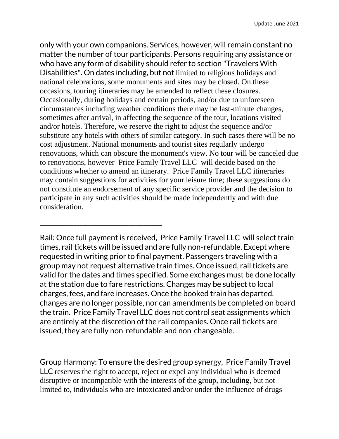only with your own companions. Services, however, will remain constant no matter the number of tour participants. Persons requiring any assistance or who have any form of disability should refer to section "Travelers With Disabilities". On dates including, but not limited to religious holidays and national celebrations, some monuments and sites may be closed. On these occasions, touring itineraries may be amended to reflect these closures. Occasionally, during holidays and certain periods, and/or due to unforeseen circumstances including weather conditions there may be last-minute changes, sometimes after arrival, in affecting the sequence of the tour, locations visited and/or hotels. Therefore, we reserve the right to adjust the sequence and/or substitute any hotels with others of similar category. In such cases there will be no cost adjustment. National monuments and tourist sites regularly undergo renovations, which can obscure the monument's view. No tour will be canceled due to renovations, however Price Family Travel LLC will decide based on the conditions whether to amend an itinerary. Price Family Travel LLC itineraries may contain suggestions for activities for your leisure time; these suggestions do not constitute an endorsement of any specific service provider and the decision to participate in any such activities should be made independently and with due consideration.

Rail: Once full payment is received, Price Family Travel LLC will select train times, rail tickets will be issued and are fully non-refundable. Except where requested in writing prior to final payment. Passengers traveling with a group may not request alternative train times. Once issued, rail tickets are valid for the dates and times specified. Some exchanges must be done locally at the station due to fare restrictions. Changes may be subject to local charges, fees, and fare increases. Once the booked train has departed, changes are no longer possible, nor can amendments be completed on board the train. Price Family Travel LLC does not control seat assignments which are entirely at the discretion of the rail companies. Once rail tickets are issued, they are fully non-refundable and non-changeable.

\_\_\_\_\_\_\_\_\_\_\_\_\_\_\_\_\_\_\_\_\_\_\_\_\_\_\_\_\_\_\_\_\_\_\_\_\_\_\_\_

\_\_\_\_\_\_\_\_\_\_\_\_\_\_\_\_\_\_\_\_\_\_\_\_\_\_\_\_\_\_\_\_\_\_\_\_\_\_\_\_

Group Harmony: To ensure the desired group synergy, Price Family Travel LLC reserves the right to accept, reject or expel any individual who is deemed disruptive or incompatible with the interests of the group, including, but not limited to, individuals who are intoxicated and/or under the influence of drugs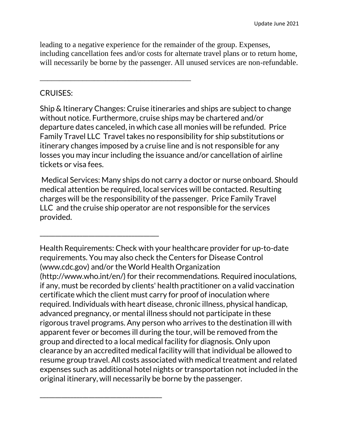leading to a negative experience for the remainder of the group. Expenses, including cancellation fees and/or costs for alternate travel plans or to return home, will necessarily be borne by the passenger. All unused services are non-refundable.

\_\_\_\_\_\_\_\_\_\_\_\_\_\_\_\_\_\_\_\_\_\_\_\_\_\_\_\_\_\_\_\_\_\_\_\_\_\_\_

\_\_\_\_\_\_\_\_\_\_\_\_\_\_\_\_\_\_\_\_\_\_\_\_\_\_\_\_\_\_\_\_\_\_\_\_\_\_\_

\_\_\_\_\_\_\_\_\_\_\_\_\_\_\_\_\_\_\_\_\_\_\_\_\_\_\_\_\_\_\_\_\_\_\_\_\_\_\_\_

#### CRUISES:

Ship & Itinerary Changes: Cruise itineraries and ships are subject to change without notice. Furthermore, cruise ships may be chartered and/or departure dates canceled, in which case all monies will be refunded. Price Family Travel LLC Travel takes no responsibility for ship substitutions or itinerary changes imposed by a cruise line and is not responsible for any losses you may incur including the issuance and/or cancellation of airline tickets or visa fees.

Medical Services: Many ships do not carry a doctor or nurse onboard. Should medical attention be required, local services will be contacted. Resulting charges will be the responsibility of the passenger. Price Family Travel LLC and the cruise ship operator are not responsible for the services provided.

Health Requirements: Check with your healthcare provider for up-to-date requirements. You may also check the Centers for Disease Control (www.cdc.gov) and/or the World Health Organization (http://www.who.int/en/) for their recommendations. Required inoculations, if any, must be recorded by clients' health practitioner on a valid vaccination certificate which the client must carry for proof of inoculation where required. Individuals with heart disease, chronic illness, physical handicap, advanced pregnancy, or mental illness should not participate in these rigorous travel programs. Any person who arrives to the destination ill with apparent fever or becomes ill during the tour, will be removed from the group and directed to a local medical facility for diagnosis. Only upon clearance by an accredited medical facility will that individual be allowed to resume group travel. All costs associated with medical treatment and related expenses such as additional hotel nights or transportation not included in the original itinerary, will necessarily be borne by the passenger.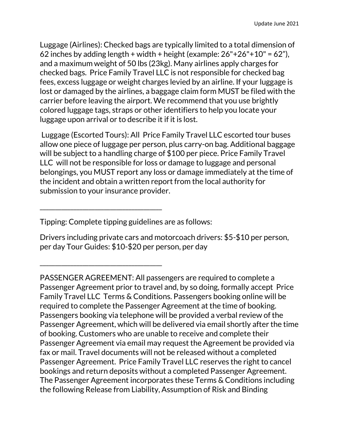Luggage (Airlines): Checked bags are typically limited to a total dimension of 62 inches by adding length + width + height (example:  $26"+26"+10" = 62"$ ), and a maximum weight of 50 lbs (23kg). Many airlines apply charges for checked bags. Price Family Travel LLC is not responsible for checked bag fees, excess luggage or weight charges levied by an airline. If your luggage is lost or damaged by the airlines, a baggage claim form MUST be filed with the carrier before leaving the airport. We recommend that you use brightly colored luggage tags, straps or other identifiers to help you locate your luggage upon arrival or to describe it if it is lost.

Luggage (Escorted Tours): All Price Family Travel LLC escorted tour buses allow one piece of luggage per person, plus carry-on bag. Additional baggage will be subject to a handling charge of \$100 per piece. Price Family Travel LLC will not be responsible for loss or damage to luggage and personal belongings, you MUST report any loss or damage immediately at the time of the incident and obtain a written report from the local authority for submission to your insurance provider.

Tipping: Complete tipping guidelines are as follows:

\_\_\_\_\_\_\_\_\_\_\_\_\_\_\_\_\_\_\_\_\_\_\_\_\_\_\_\_\_\_\_\_\_\_\_\_\_\_\_\_

\_\_\_\_\_\_\_\_\_\_\_\_\_\_\_\_\_\_\_\_\_\_\_\_\_\_\_\_\_\_\_\_\_\_\_\_\_\_\_\_

Drivers including private cars and motorcoach drivers: \$5-\$10 per person, per day Tour Guides: \$10-\$20 per person, per day

PASSENGER AGREEMENT: All passengers are required to complete a Passenger Agreement prior to travel and, by so doing, formally accept Price Family Travel LLC Terms & Conditions. Passengers booking online will be required to complete the Passenger Agreement at the time of booking. Passengers booking via telephone will be provided a verbal review of the Passenger Agreement, which will be delivered via email shortly after the time of booking. Customers who are unable to receive and complete their Passenger Agreement via email may request the Agreement be provided via fax or mail. Travel documents will not be released without a completed Passenger Agreement. Price Family Travel LLC reserves the right to cancel bookings and return deposits without a completed Passenger Agreement. The Passenger Agreement incorporates these Terms & Conditions including the following Release from Liability, Assumption of Risk and Binding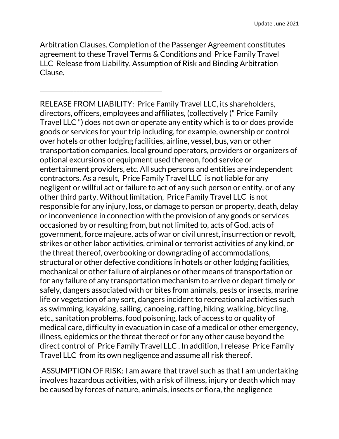Arbitration Clauses. Completion of the Passenger Agreement constitutes agreement to these Travel Terms & Conditions and Price Family Travel LLC Release from Liability, Assumption of Risk and Binding Arbitration Clause.

\_\_\_\_\_\_\_\_\_\_\_\_\_\_\_\_\_\_\_\_\_\_\_\_\_\_\_\_\_\_\_\_\_\_\_\_\_\_\_\_

RELEASE FROM LIABILITY: Price Family Travel LLC, its shareholders, directors, officers, employees and affiliates, (collectively (" Price Family Travel LLC ") does not own or operate any entity which is to or does provide goods or services for your trip including, for example, ownership or control over hotels or other lodging facilities, airline, vessel, bus, van or other transportation companies, local ground operators, providers or organizers of optional excursions or equipment used thereon, food service or entertainment providers, etc. All such persons and entities are independent contractors. As a result, Price Family Travel LLC is not liable for any negligent or willful act or failure to act of any such person or entity, or of any other third party. Without limitation, Price Family Travel LLC is not responsible for any injury, loss, or damage to person or property, death, delay or inconvenience in connection with the provision of any goods or services occasioned by or resulting from, but not limited to, acts of God, acts of government, force majeure, acts of war or civil unrest, insurrection or revolt, strikes or other labor activities, criminal or terrorist activities of any kind, or the threat thereof, overbooking or downgrading of accommodations, structural or other defective conditions in hotels or other lodging facilities, mechanical or other failure of airplanes or other means of transportation or for any failure of any transportation mechanism to arrive or depart timely or safely, dangers associated with or bites from animals, pests or insects, marine life or vegetation of any sort, dangers incident to recreational activities such as swimming, kayaking, sailing, canoeing, rafting, hiking, walking, bicycling, etc., sanitation problems, food poisoning, lack of access to or quality of medical care, difficulty in evacuation in case of a medical or other emergency, illness, epidemics or the threat thereof or for any other cause beyond the direct control of Price Family Travel LLC . In addition, I release Price Family Travel LLC from its own negligence and assume all risk thereof.

ASSUMPTION OF RISK: I am aware that travel such as that I am undertaking involves hazardous activities, with a risk of illness, injury or death which may be caused by forces of nature, animals, insects or flora, the negligence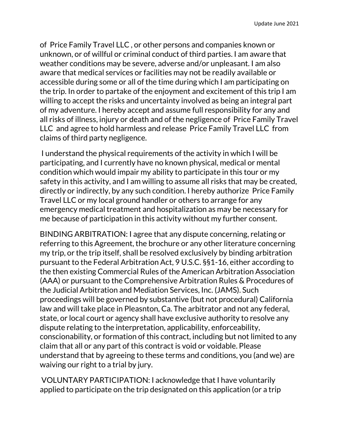of Price Family Travel LLC , or other persons and companies known or unknown, or of willful or criminal conduct of third parties. I am aware that weather conditions may be severe, adverse and/or unpleasant. I am also aware that medical services or facilities may not be readily available or accessible during some or all of the time during which I am participating on the trip. In order to partake of the enjoyment and excitement of this trip I am willing to accept the risks and uncertainty involved as being an integral part of my adventure. I hereby accept and assume full responsibility for any and all risks of illness, injury or death and of the negligence of Price Family Travel LLC and agree to hold harmless and release Price Family Travel LLC from claims of third party negligence.

I understand the physical requirements of the activity in which I will be participating, and I currently have no known physical, medical or mental condition which would impair my ability to participate in this tour or my safety in this activity, and I am willing to assume all risks that may be created, directly or indirectly, by any such condition. I hereby authorize Price Family Travel LLC or my local ground handler or others to arrange for any emergency medical treatment and hospitalization as may be necessary for me because of participation in this activity without my further consent.

BINDING ARBITRATION: I agree that any dispute concerning, relating or referring to this Agreement, the brochure or any other literature concerning my trip, or the trip itself, shall be resolved exclusively by binding arbitration pursuant to the Federal Arbitration Act, 9 U.S.C. §§1-16, either according to the then existing Commercial Rules of the American Arbitration Association (AAA) or pursuant to the Comprehensive Arbitration Rules & Procedures of the Judicial Arbitration and Mediation Services, Inc. (JAMS). Such proceedings will be governed by substantive (but not procedural) California law and will take place in Pleasnton, Ca. The arbitrator and not any federal, state, or local court or agency shall have exclusive authority to resolve any dispute relating to the interpretation, applicability, enforceability, conscionability, or formation of this contract, including but not limited to any claim that all or any part of this contract is void or voidable. Please understand that by agreeing to these terms and conditions, you (and we) are waiving our right to a trial by jury.

VOLUNTARY PARTICIPATION: I acknowledge that I have voluntarily applied to participate on the trip designated on this application (or a trip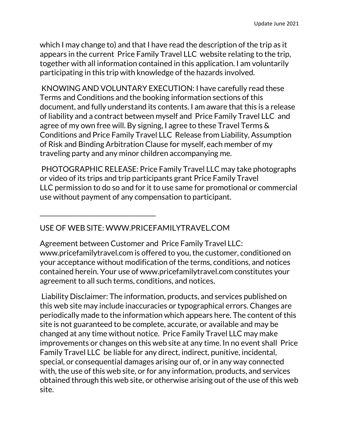which I may change to) and that I have read the description of the trip as it appears in the current Price Family Travel LLC website relating to the trip, together with all information contained in this application. I am voluntarily participating in this trip with knowledge of the hazards involved.

KNOWING AND VOLUNTARY EXECUTION: I have carefully read these Terms and Conditions and the booking information sections of this document, and fully understand its contents. I am aware that this is a release of liability and a contract between myself and Price Family Travel LLC and agree of my own free will. By signing, I agree to these Travel Terms & Conditions and Price Family Travel LLC Release from Liability, Assumption of Risk and Binding Arbitration Clause for myself, each member of my traveling party and any minor children accompanying me.

PHOTOGRAPHIC RELEASE: Price Family Travel LLC may take photographs or video of its trips and trip participants grant Price Family Travel LLC permission to do so and for it to use same for promotional or commercial use without payment of any compensation to participant.

## USE OF WEB SITE: WWW.PRICEFAMILYTRAVEL.COM

\_\_\_\_\_\_\_\_\_\_\_\_\_\_\_\_\_\_\_\_\_\_\_\_\_\_\_\_\_\_\_\_\_\_\_\_\_\_

Agreement between Customer and Price Family Travel LLC: www.pricefamilytravel.com is offered to you, the customer, conditioned on your acceptance without modification of the terms, conditions, and notices contained herein. Your use of www.pricefamilytravel.com constitutes your agreement to all such terms, conditions, and notices.

Liability Disclaimer: The information, products, and services published on this web site may include inaccuracies or typographical errors. Changes are periodically made to the information which appears here. The content of this site is not guaranteed to be complete, accurate, or available and may be changed at any time without notice. Price Family Travel LLC may make improvements or changes on this web site at any time. In no event shall Price Family Travel LLC be liable for any direct, indirect, punitive, incidental, special, or consequential damages arising our of, or in any way connected with, the use of this web site, or for any information, products, and services obtained through this web site, or otherwise arising out of the use of this web site.